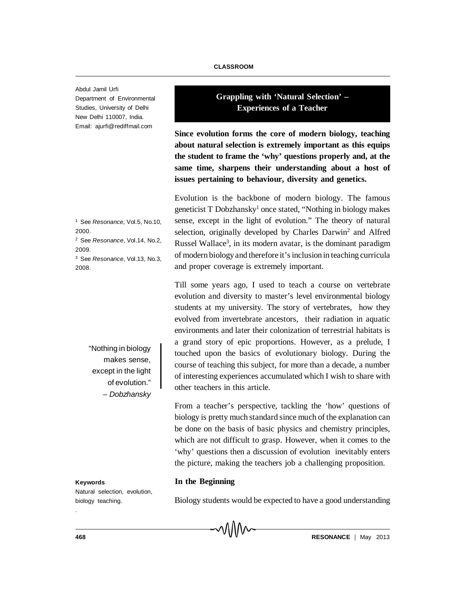Abdul Jamil Urfi Department of Environmental Studies, University of Delhi New Delhi 110007, India. Email: ajurfi@rediffmail.com

<sup>1</sup> See *Resonance,* Vol.5, No.10, 2000. <sup>2</sup> See *Resonance*, Vol.14, No.2, 2009.

<sup>3</sup> See *Resonance*, Vol.13, No.3, 2008.

> "Nothing in biology makes sense, except in the light of evolution." – *Dobzhansky*

**Keywords** Natural selection, evolution, biology teaching.

**Grappling with 'Natural Selection' – Experiences of a Teacher**

**Since evolution forms the core of modern biology, teaching about natural selection is extremely important as this equips the student to frame the 'why' questions properly and, at the same time, sharpens their understanding about a host of issues pertaining to behaviour, diversity and genetics.**

Evolution is the backbone of modern biology. The famous geneticist T Dobzhansky1 once stated, "Nothing in biology makes sense, except in the light of evolution." The theory of natural selection, originally developed by Charles Darwin<sup>2</sup> and Alfred Russel Wallace<sup>3</sup>, in its modern avatar, is the dominant paradigm of modern biology and therefore it's inclusionin teaching curricula and proper coverage is extremely important.

Till some years ago, I used to teach a course on vertebrate evolution and diversity to master's level environmental biology students at my university. The story of vertebrates, how they evolved from invertebrate ancestors, their radiation in aquatic environments and later their colonization of terrestrial habitats is a grand story of epic proportions. However, as a prelude, I touched upon the basics of evolutionary biology. During the course of teaching this subject, for more than a decade, a number of interesting experiences accumulated which I wish to share with other teachers in this article.

From a teacher's perspective, tackling the 'how' questions of biology is pretty much standard since much of the explanation can be done on the basis of basic physics and chemistry principles, which are not difficult to grasp. However, when it comes to the 'why' questions then a discussion of evolution inevitably enters the picture, making the teachers job a challenging proposition.

## **In the Beginning**

Biology students would be expected to have a good understanding

.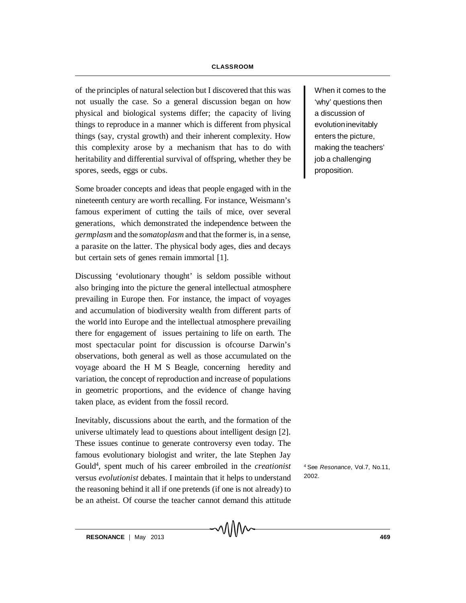of the principles of natural selection but I discovered that this was not usually the case. So a general discussion began on how physical and biological systems differ; the capacity of living things to reproduce in a manner which is different from physical things (say, crystal growth) and their inherent complexity. How this complexity arose by a mechanism that has to do with heritability and differential survival of offspring, whether they be spores, seeds, eggs or cubs.

Some broader concepts and ideas that people engaged with in the nineteenth century are worth recalling. For instance, Weismann's famous experiment of cutting the tails of mice, over several generations, which demonstrated the independence between the *germplasm* and the *somatoplasm* and that the former is, in a sense, a parasite on the latter. The physical body ages, dies and decays but certain sets of genes remain immortal [1].

Discussing 'evolutionary thought' is seldom possible without also bringing into the picture the general intellectual atmosphere prevailing in Europe then. For instance, the impact of voyages and accumulation of biodiversity wealth from different parts of the world into Europe and the intellectual atmosphere prevailing there for engagement of issues pertaining to life on earth. The most spectacular point for discussion is ofcourse Darwin's observations, both general as well as those accumulated on the voyage aboard the H M S Beagle, concerning heredity and variation, the concept of reproduction and increase of populations in geometric proportions, and the evidence of change having taken place, as evident from the fossil record.

Inevitably, discussions about the earth, and the formation of the universe ultimately lead to questions about intelligent design [2]. These issues continue to generate controversy even today. The famous evolutionary biologist and writer, the late Stephen Jay Gould4, spent much of his career embroiled in the *creationist* versus *evolutionist* debates. I maintain that it helps to understand the reasoning behind it all if one pretends (if one is not already) to be an atheist. Of course the teacher cannot demand this attitude

MMW

When it comes to the 'why' questions then a discussion of evolutioninevitably enters the picture, making the teachers' job a challenging proposition.

<sup>4</sup> See *Resonance*, Vol.7, No.11, 2002.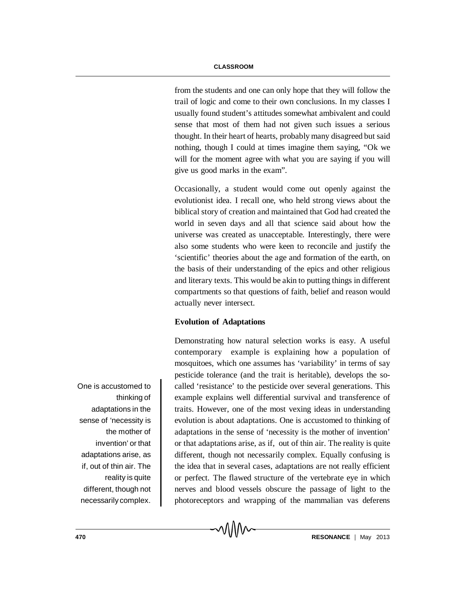from the students and one can only hope that they will follow the trail of logic and come to their own conclusions. In my classes I usually found student's attitudes somewhat ambivalent and could sense that most of them had not given such issues a serious thought. In their heart of hearts, probably many disagreed but said nothing, though I could at times imagine them saying, "Ok we will for the moment agree with what you are saying if you will give us good marks in the exam".

Occasionally, a student would come out openly against the evolutionist idea. I recall one, who held strong views about the biblical story of creation and maintained that God had created the world in seven days and all that science said about how the universe was created as unacceptable. Interestingly, there were also some students who were keen to reconcile and justify the 'scientific' theories about the age and formation of the earth, on the basis of their understanding of the epics and other religious and literary texts. This would be akin to putting things in different compartments so that questions of faith, belief and reason would actually never intersect.

# **Evolution of Adaptations**

MM

Demonstrating how natural selection works is easy. A useful contemporary example is explaining how a population of mosquitoes, which one assumes has 'variability' in terms of say pesticide tolerance (and the trait is heritable), develops the socalled 'resistance' to the pesticide over several generations. This example explains well differential survival and transference of traits. However, one of the most vexing ideas in understanding evolution is about adaptations. One is accustomed to thinking of adaptations in the sense of 'necessity is the mother of invention' or that adaptations arise, as if, out of thin air. The reality is quite different, though not necessarily complex. Equally confusing is the idea that in several cases, adaptations are not really efficient or perfect. The flawed structure of the vertebrate eye in which nerves and blood vessels obscure the passage of light to the photoreceptors and wrapping of the mammalian vas deferens

thinking of adaptations in the sense of 'necessity is the mother of invention' or that adaptations arise, as if, out of thin air. The reality is quite different, though not necessarily complex.

One is accustomed to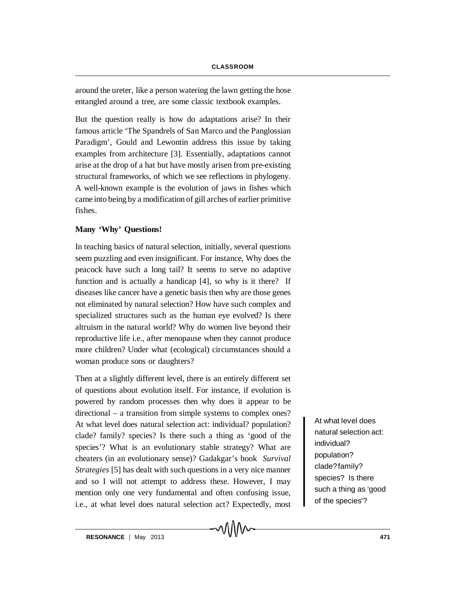around the ureter, like a person watering the lawn getting the hose entangled around a tree, are some classic textbook examples.

But the question really is how do adaptations arise? In their famous article 'The Spandrels of San Marco and the Panglossian Paradigm', Gould and Lewontin address this issue by taking examples from architecture [3]. Essentially, adaptations cannot arise at the drop of a hat but have mostly arisen from pre-existing structural frameworks, of which we see reflections in phylogeny. A well-known example is the evolution of jaws in fishes which came into being by a modification of gill arches of earlier primitive fishes.

### **Many 'Why' Questions!**

In teaching basics of natural selection, initially, several questions seem puzzling and even insignificant. For instance, Why does the peacock have such a long tail? It seems to serve no adaptive function and is actually a handicap [4], so why is it there? If diseases like cancer have a genetic basis then why are those genes not eliminated by natural selection? How have such complex and specialized structures such as the human eye evolved? Is there altruism in the natural world? Why do women live beyond their reproductive life i.e., after menopause when they cannot produce more children? Under what (ecological) circumstances should a woman produce sons or daughters?

Then at a slightly different level, there is an entirely different set of questions about evolution itself. For instance, if evolution is powered by random processes then why does it appear to be directional – a transition from simple systems to complex ones? At what level does natural selection act: individual? population? clade? family? species? Is there such a thing as 'good of the species'? What is an evolutionary stable strategy? What are cheaters (in an evolutionary sense)? Gadakgar's book *Survival Strategies* [5] has dealt with such questions in a very nice manner and so I will not attempt to address these. However, I may mention only one very fundamental and often confusing issue, i.e., at what level does natural selection act? Expectedly, most

MAN

At what level does natural selection act: individual? population? clade?family? species? Is there such a thing as 'good of the species'?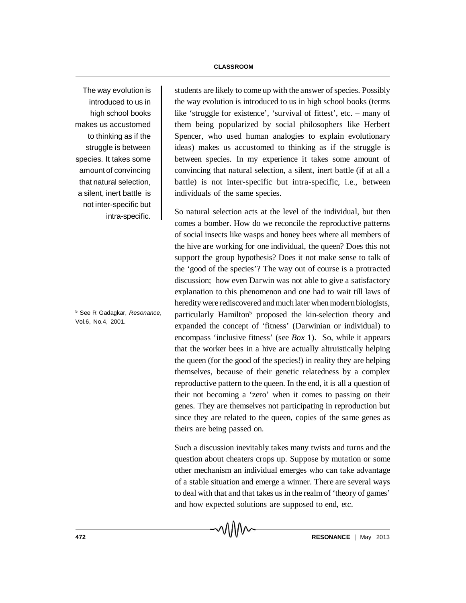The way evolution is introduced to us in high school books makes us accustomed to thinking as if the struggle is between species. It takes some amount of convincing that natural selection, a silent, inert battle is not inter-specific but intra-specific.

<sup>5</sup> See R Gadagkar, *Resonance*, Vol.6, No.4, 2001.

students are likely to come up with the answer of species. Possibly the way evolution is introduced to us in high school books (terms like 'struggle for existence', 'survival of fittest', etc. – many of them being popularized by social philosophers like Herbert Spencer, who used human analogies to explain evolutionary ideas) makes us accustomed to thinking as if the struggle is between species. In my experience it takes some amount of convincing that natural selection, a silent, inert battle (if at all a battle) is not inter-specific but intra-specific, i.e., between individuals of the same species.

So natural selection acts at the level of the individual, but then comes a bomber. How do we reconcile the reproductive patterns of social insects like wasps and honey bees where all members of the hive are working for one individual, the queen? Does this not support the group hypothesis? Does it not make sense to talk of the 'good of the species'? The way out of course is a protracted discussion; how even Darwin was not able to give a satisfactory explanation to this phenomenon and one had to wait till laws of heredity were rediscovered and muchlater when modern biologists, particularly Hamilton<sup>5</sup> proposed the kin-selection theory and expanded the concept of 'fitness' (Darwinian or individual) to encompass 'inclusive fitness' (see *Box* 1). So, while it appears that the worker bees in a hive are actually altruistically helping the queen (for the good of the species!) in reality they are helping themselves, because of their genetic relatedness by a complex reproductive pattern to the queen. In the end, it is all a question of their not becoming a 'zero' when it comes to passing on their genes. They are themselves not participating in reproduction but since they are related to the queen, copies of the same genes as theirs are being passed on.

Such a discussion inevitably takes many twists and turns and the question about cheaters crops up. Suppose by mutation or some other mechanism an individual emerges who can take advantage of a stable situation and emerge a winner. There are several ways to deal with that and that takes us in the realm of 'theory of games' and how expected solutions are supposed to end, etc.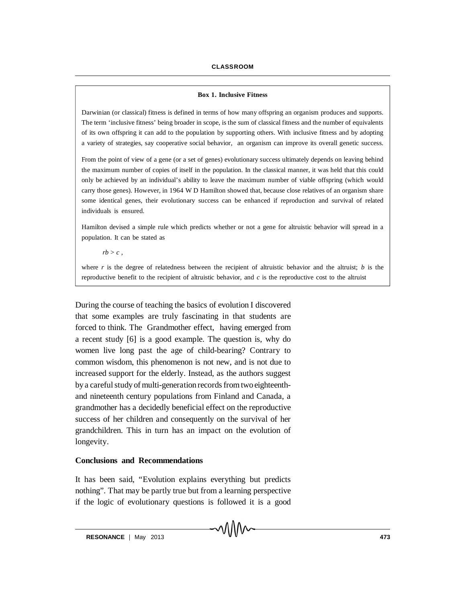#### **Box 1. Inclusive Fitness**

Darwinian (or classical) fitness is defined in terms of how many offspring an organism produces and supports. The term 'inclusive fitness' being broader in scope, is the sum of classical fitness and the number of equivalents of its own offspring it can add to the population by supporting others. With inclusive fitness and by adopting a variety of strategies, say cooperative social behavior, an organism can improve its overall genetic success.

From the point of view of a gene (or a set of genes) evolutionary success ultimately depends on leaving behind the maximum number of copies of itself in the population. In the classical manner, it was held that this could only be achieved by an individual's ability to leave the maximum number of viable offspring (which would carry those genes). However, in 1964 W D Hamilton showed that, because close relatives of an organism share some identical genes, their evolutionary success can be enhanced if reproduction and survival of related individuals is ensured.

Hamilton devised a simple rule which predicts whether or not a gene for altruistic behavior will spread in a population. It can be stated as

 $rb > c$ ,

where *r* is the degree of relatedness between the recipient of altruistic behavior and the altruist; *b* is the reproductive benefit to the recipient of altruistic behavior, and  $c$  is the reproductive cost to the altruist

MMW

During the course of teaching the basics of evolution I discovered that some examples are truly fascinating in that students are forced to think. The Grandmother effect, having emerged from a recent study [6] is a good example. The question is, why do women live long past the age of child-bearing? Contrary to common wisdom, this phenomenon is not new, and is not due to increased support for the elderly. Instead, as the authors suggest by a careful study of multi-generation records fromtwo eighteenthand nineteenth century populations from Finland and Canada, a grandmother has a decidedly beneficial effect on the reproductive success of her children and consequently on the survival of her grandchildren. This in turn has an impact on the evolution of longevity.

# **Conclusions and Recommendations**

It has been said, "Evolution explains everything but predicts nothing". That may be partly true but from a learning perspective if the logic of evolutionary questions is followed it is a good